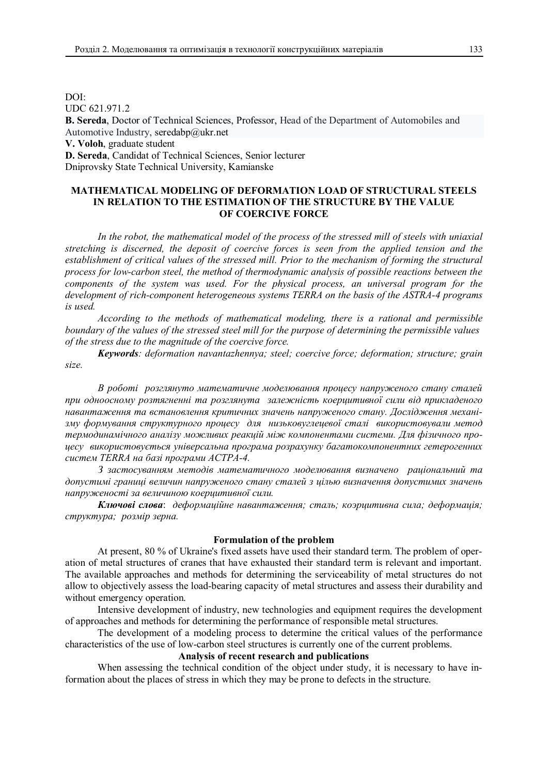DOI: UDC 621.971.2 **B. Sereda**, Doctor of Technical Sciences, Professor, Head of the Department of Automobiles and Automotive Industry, seredabp@ukr.net **V. Voloh**, graduate student

**D. Sereda**, Candidat of Technical Sciences, Senior lecturer Dniprovsky State Technical University, Kamianske

# **MATHEMATICAL MODELING OF DEFORMATION LOAD OF STRUCTURAL STEELS IN RELATION TO THE ESTIMATION OF THE STRUCTURE BY THE VALUE OF COERCIVE FORCE**

*In the robot, the mathematical model of the process of the stressed mill of steels with uniaxial stretching is discerned, the deposit of coercive forces is seen from the applied tension and the establishment of critical values of the stressed mill. Prior to the mechanism of forming the structural process for low-carbon steel, the method of thermodynamic analysis of possible reactions between the components of the system was used. For the physical process, an universal program for the development of rich-component heterogeneous systems TERRA on the basis of the ASTRA-4 programs is used.*

*According to the methods of mathematical modeling, there is a rational and permissible boundary of the values of the stressed steel mill for the purpose of determining the permissible values of the stress due to the magnitude of the coercive force.*

*Keywords: deformation navantazhennya; steel; coercive force; deformation; structure; grain size.*

*В роботі розглянуто математичне моделювання процесу напруженого стану сталей при одноосному розтягненні та розглянута залежність коерцитивної сили від прикладеного навантаження та встановлення критичних значень напруженого стану. Дослідження механізму формування структурного процесу для низьковуглецевої сталі використовували метод термодинамічного аналізу можливих реакцій між компонентами системи. Для фізичного процесу використовується універсальна програма розрахунку багатокомпонентних гетерогенних систем ТЕRRA на базі програми АСТРА-4.*

*З застосуванням методів математичного моделювання визначено раціональний та допустимі границі величин напруженого стану сталей з цілью визначення допустимих значень напруженості за величиною коерцитивної сили.*

*Ключові слова*: *деформаційне навантаження; сталь; коэрцитивна сила; деформація; структура; розмір зерна.*

# **Formulation of the problem**

At present, 80 % of Ukraine's fixed assets have used their standard term. The problem of operation of metal structures of cranes that have exhausted their standard term is relevant and important. The available approaches and methods for determining the serviceability of metal structures do not allow to objectively assess the load-bearing capacity of metal structures and assess their durability and without emergency operation.

Intensive development of industry, new technologies and equipment requires the development of approaches and methods for determining the performance of responsible metal structures.

The development of a modeling process to determine the critical values of the performance characteristics of the use of low-carbon steel structures is currently one of the current problems.

#### **Analysis of recent research and publications**

When assessing the technical condition of the object under study, it is necessary to have information about the places of stress in which they may be prone to defects in the structure.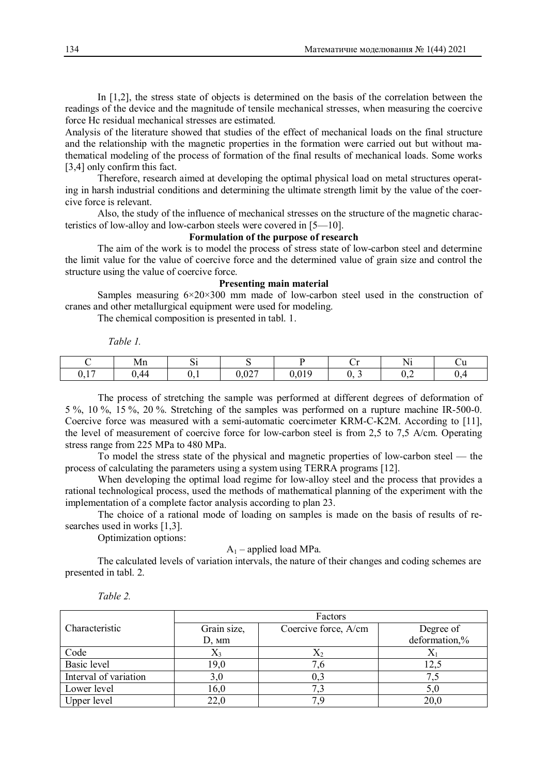In [1,2], the stress state of objects is determined on the basis of the correlation between the readings of the device and the magnitude of tensile mechanical stresses, when measuring the coercive force Hc residual mechanical stresses are estimated.

Analysis of the literature showed that studies of the effect of mechanical loads on the final structure and the relationship with the magnetic properties in the formation were carried out but without mathematical modeling of the process of formation of the final results of mechanical loads. Some works [3,4] only confirm this fact.

Therefore, research aimed at developing the optimal physical load on metal structures operating in harsh industrial conditions and determining the ultimate strength limit by the value of the coercive force is relevant.

Also, the study of the influence of mechanical stresses on the structure of the magnetic characteristics of low-alloy and low-carbon steels were covered in [5—10].

# **Formulation of the purpose of research**

The aim of the work is to model the process of stress state of low-carbon steel and determine the limit value for the value of coercive force and the determined value of grain size and control the structure using the value of coercive force.

## **Presenting main material**

Samples measuring  $6\times20\times300$  mm made of low-carbon steel used in the construction of cranes and other metallurgical equipment were used for modeling.

The chemical composition is presented in tabl. 1.

 *Table 1.*

|               | Mn      | ື    |               |               | ◡ェ                  | $- - -$<br>N<br><b>TIT</b> | <b>U</b>     |
|---------------|---------|------|---------------|---------------|---------------------|----------------------------|--------------|
| $1 -$<br>V, I | 44<br>. | v. I | 0.027<br>0,02 | 010<br>V.VI 5 | ∽<br>v.<br><b>س</b> | 0,2                        | $\mathbf{u}$ |

The process of stretching the sample was performed at different degrees of deformation of 5 %, 10 %, 15 %, 20 %. Stretching of the samples was performed on a rupture machine IR-500-0. Coercive force was measured with a semi-automatic coercimeter KRM-C-K2M. According to [11], the level of measurement of coercive force for low-carbon steel is from 2,5 to 7,5 A/cm. Operating stress range from 225 MPa to 480 MPa.

To model the stress state of the physical and magnetic properties of low-carbon steel — the process of calculating the parameters using a system using TERRA programs [12].

When developing the optimal load regime for low-alloy steel and the process that provides a rational technological process, used the methods of mathematical planning of the experiment with the implementation of a complete factor analysis according to plan 23.

The choice of a rational mode of loading on samples is made on the basis of results of researches used in works [1,3].

Optimization options:

 $A_1$  – applied load MPa.

The calculated levels of variation intervals, the nature of their changes and coding schemes are presented in tabl. 2.

|                       | Factors        |                      |               |  |  |  |
|-----------------------|----------------|----------------------|---------------|--|--|--|
| Characteristic        | Grain size,    | Coercive force, A/cm | Degree of     |  |  |  |
|                       | $D, \text{mm}$ |                      | deformation,% |  |  |  |
| Code                  |                |                      |               |  |  |  |
| Basic level           | 19,0           |                      |               |  |  |  |
| Interval of variation |                | 0,3                  |               |  |  |  |
| Lower level           | 16,0           |                      |               |  |  |  |
| Upper level           |                |                      | 20,0          |  |  |  |

*Table 2.*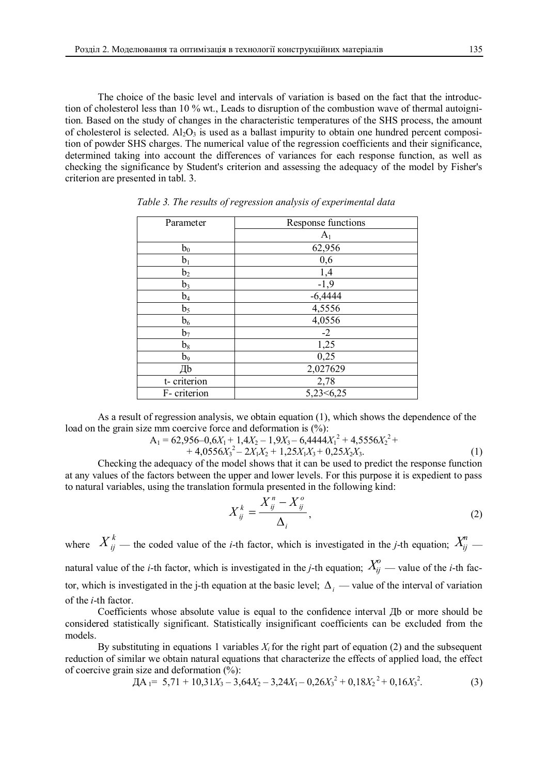The choice of the basic level and intervals of variation is based on the fact that the introduction of cholesterol less than 10 % wt., Leads to disruption of the combustion wave of thermal autoignition. Based on the study of changes in the characteristic temperatures of the SHS process, the amount of cholesterol is selected.  $Al_2O_3$  is used as a ballast impurity to obtain one hundred percent composition of powder SHS charges. The numerical value of the regression coefficients and their significance, determined taking into account the differences of variances for each response function, as well as checking the significance by Student's criterion and assessing the adequacy of the model by Fisher's criterion are presented in tabl. 3.

| Parameter      | Response functions |
|----------------|--------------------|
|                | $\rm A_1$          |
| $b_0$          | 62,956             |
| $b_1$          | 0,6                |
| b <sub>2</sub> | 1,4                |
| $b_3$          | $-1,9$             |
| $b_4$          | $-6,4444$          |
| b <sub>5</sub> | 4,5556             |
| b <sub>6</sub> | 4,0556             |
| b <sub>7</sub> | $-2$               |
| $b_8$          | 1,25               |
| $b_9$          | 0,25               |
| ľb             | 2,027629           |
| t-criterion    | 2,78               |
| F-criterion    | 5,23<6,25          |

*Table 3. The results of regression analysis of experimental data*

As a result of regression analysis, we obtain equation (1), which shows the dependence of the load on the grain size mm coercive force and deformation is  $(\%)$ :

$$
A_1 = 62,956-0,6X_1 + 1,4X_2 - 1,9X_3 - 6,4444X_1^2 + 4,5556X_2^2 ++ 4,0556X_3^2 - 2X_1X_2 + 1,25X_1X_3 + 0,25X_2X_3.
$$
 (1)

Checking the adequacy of the model shows that it can be used to predict the response function at any values of the factors between the upper and lower levels. For this purpose it is expedient to pass to natural variables, using the translation formula presented in the following kind:

$$
X_{ij}^k = \frac{X_{ij}^n - X_{ij}^o}{\Delta_i},\tag{2}
$$

where  $X_{ij}^k$  — the coded value of the *i*-th factor, which is investigated in the *j*-th equation;  $X_{ij}^n$  natural value of the *i*-th factor, which is investigated in the *j*-th equation;  $X_{ij}^o$  — value of the *i*-th factor, which is investigated in the j-th equation at the basic level;  $\Delta_i$  — value of the interval of variation of the *i*-th factor.

Coefficients whose absolute value is equal to the confidence interval Дb or more should be considered statistically significant. Statistically insignificant coefficients can be excluded from the models.

By substituting in equations 1 variables  $X_i$  for the right part of equation (2) and the subsequent reduction of similar we obtain natural equations that characterize the effects of applied load, the effect of coercive grain size and deformation  $(\% )$ :

$$
\text{AA}_1 = 5,71 + 10,31X_3 - 3,64X_2 - 3,24X_1 - 0,26X_3^2 + 0,18X_2^2 + 0,16X_3^2. \tag{3}
$$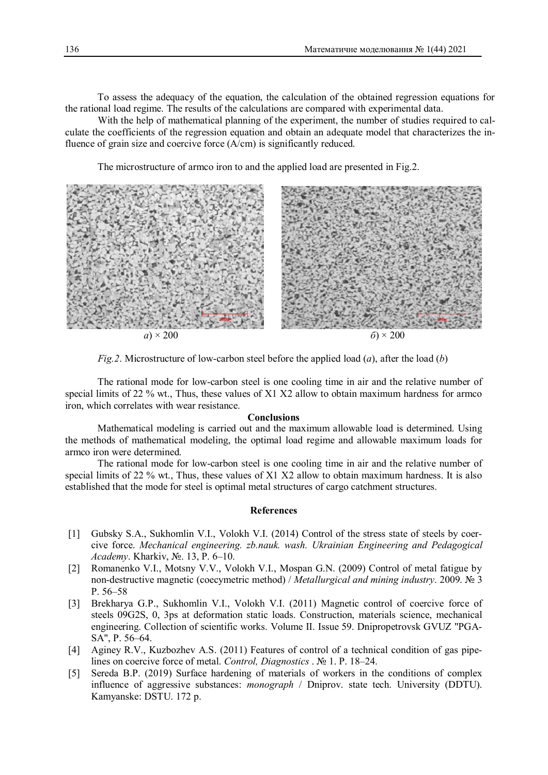To assess the adequacy of the equation, the calculation of the obtained regression equations for the rational load regime. The results of the calculations are compared with experimental data.

With the help of mathematical planning of the experiment, the number of studies required to calculate the coefficients of the regression equation and obtain an adequate model that characterizes the influence of grain size and coercive force (A/cm) is significantly reduced.

The microstructure of armco iron to and the applied load are presented in Fig.2.



*Fig.2*. Microstructure of low-carbon steel before the applied load (*a*), after the load (*b*)

The rational mode for low-carbon steel is one cooling time in air and the relative number of special limits of 22 % wt., Thus, these values of X1 X2 allow to obtain maximum hardness for armco iron, which correlates with wear resistance.

#### **Conclusions**

Mathematical modeling is carried out and the maximum allowable load is determined. Using the methods of mathematical modeling, the optimal load regime and allowable maximum loads for armco iron were determined.

The rational mode for low-carbon steel is one cooling time in air and the relative number of special limits of 22 % wt., Thus, these values of X1 X2 allow to obtain maximum hardness. It is also established that the mode for steel is optimal metal structures of cargo catchment structures.

# **References**

- [1] Gubsky S.A., Sukhomlin V.I., Volokh V.I. (2014) Control of the stress state of steels by coercive force. *Mechanical engineering. zb.nauk. wash. Ukrainian Engineering and Pedagogical Academy*. Kharkiv, №. 13, P. 6–10.
- [2] Romanenko V.I., Motsny V.V., Volokh V.I., Mospan G.N. (2009) Control of metal fatigue by non-destructive magnetic (coecymetric method) / *Metallurgical and mining industry*. 2009. № 3 P. 56–58
- [3] Brekharya G.P., Sukhomlin V.I., Volokh V.I. (2011) Magnetic control of coercive force of steels 09G2S, 0, 3ps at deformation static loads. Construction, materials science, mechanical engineering. Collection of scientific works. Volume II. Issue 59. Dnipropetrovsk GVUZ "PGA-SA", P. 56–64.
- [4] Aginey R.V., Kuzbozhev A.S. (2011) Features of control of a technical condition of gas pipelines on coercive force of metal. *Control, Diagnostics* . № 1. P. 18–24.
- [5] Sereda B.P. (2019) Surface hardening of materials of workers in the conditions of complex influence of aggressive substances: *monograph* / Dniprov. state tech. University (DDTU). Kamyanske: DSTU. 172 p.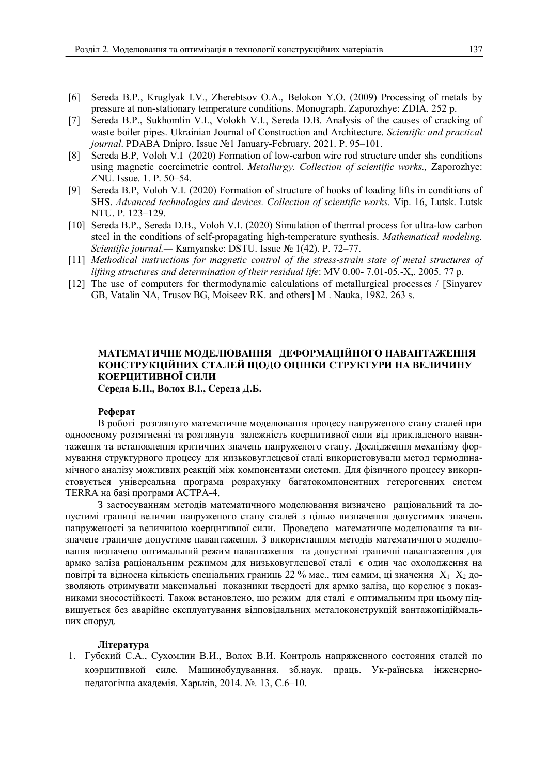- [6] Sereda B.P., Kruglyak I.V., Zherebtsov O.A., Belokon Y.O. (2009) Processing of metals by pressure at non-stationary temperature conditions. Monograph. Zaporozhye: ZDIA. 252 p.
- [7] Sereda B.P., Sukhomlin V.I., Volokh V.I., Sereda D.B. Analysis of the causes of cracking of waste boiler pipes. Ukrainian Journal of Construction and Architecture. *Scientific and practical journal*. PDABA Dnipro, Issue №1 January-February, 2021. P. 95–101.
- [8] Sereda B.P, Voloh V.I (2020) Formation of low-carbon wire rod structure under shs conditions using magnetic coercimetric control. *Metallurgy. Collection of scientific works.,* Zaporozhye: ZNU. Issue. 1. P. 50–54.
- [9] Sereda B.P, Voloh V.I. (2020) Formation of structure of hooks of loading lifts in conditions of SHS. *Advanced technologies and devices. Collection of scientific works.* Vip. 16, Lutsk. Lutsk NTU. P. 123–129.
- [10] Sereda B.P., Sereda D.B., Voloh V.I. (2020) Simulation of thermal process for ultra-low carbon steel in the conditions of self-propagating high-temperature synthesis. *Mathematical modeling. Scientific journal.—* Kamyanske: DSTU. Issue № 1(42). P. 72–77.
- [11] *Methodical instructions for magnetic control of the stress-strain state of metal structures of lifting structures and determination of their residual life*: MV 0.00- 7.01-05.-Х,. 2005. 77 p.
- [12] The use of computers for thermodynamic calculations of metallurgical processes / [Sinyarev] GB, Vatalin NA, Trusov BG, Moiseev RK. and others] M . Nauka, 1982. 263 s.

# **МАТЕМАТИЧНЕ МОДЕЛЮВАННЯ ДЕФОРМАЦІЙНОГО НАВАНТАЖЕННЯ КОНСТРУКЦІЙНИХ СТАЛЕЙ ЩОДО ОЦІНКИ СТРУКТУРИ НА ВЕЛИЧИНУ КОЕРЦИТИВНОЇ СИЛИ**

**Середа Б.П., Волох В.І., Середа Д.Б.**

## **Реферат**

В роботі розглянуто математичне моделювання процесу напруженого стану сталей при одноосному розтягненні та розглянута залежність коерцитивної сили від прикладеного навантаження та встановлення критичних значень напруженого стану. Дослідження механізму формування структурного процесу для низьковуглецевої сталі використовували метод термодинамічного аналізу можливих реакцій між компонентами системи. Для фізичного процесу використовується універсальна програма розрахунку багатокомпонентних гетерогенних систем ТЕRRA на базі програми АСТРА-4.

З застосуванням методів математичного моделювання визначено раціональний та допустимі границі величин напруженого стану сталей з цілью визначення допустимих значень напруженості за величиною коерцитивної сили. Проведено математичне моделювання та визначене граничне допустиме навантаження. З використанням методів математичного моделювання визначено оптимальний режим навантаження та допустимі граничні навантаження для армко заліза раціональним режимом для низьковуглецевої сталі є один час охолодження на повітрі та відносна кількість спеціальних границь 22 % мас., тим самим, ці значення  $X_1, X_2$  дозволяють отримувати максимальні показники твердості для армко заліза, що корелює з показниками зносостійкості. Також встановлено, що режим для сталі є оптимальним при цьому підвищується без аварійне експлуатування відповідальних металоконструкцій вантажопідіймальних споруд.

# **Література**

1. Губский С.А., Сухомлин В.И., Волох В.И. Контроль напряженного состояния сталей по коэрцитивной силе. Машинобудуванння. зб.наук. праць. Ук-раїнська інженернопедагогічна академія. Харьків, 2014. №. 13, С.6–10.